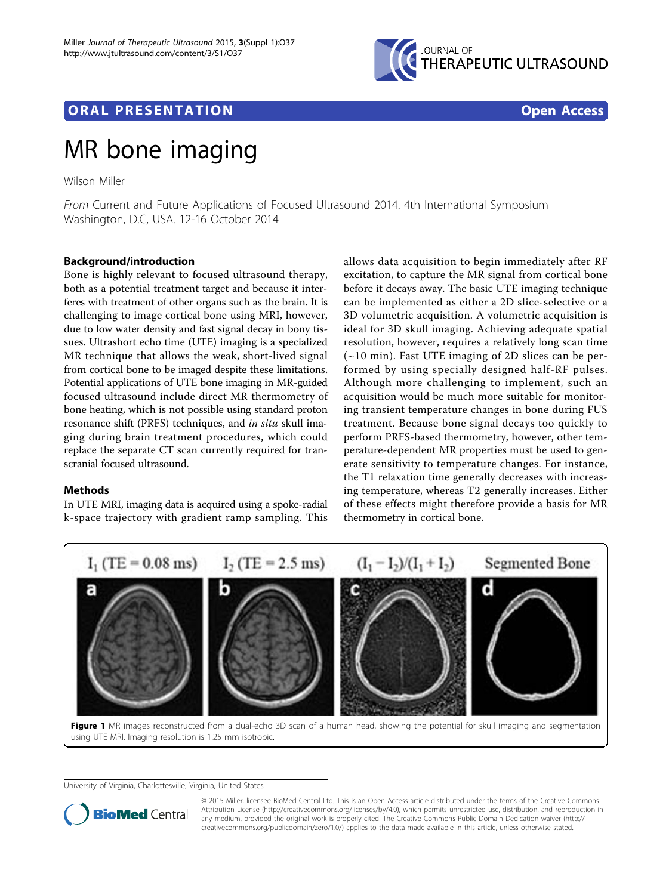

## <span id="page-0-0"></span>**ORAL PRESENTATION OPEN ACCESS**

# MR bone imaging

Wilson Miller

From Current and Future Applications of Focused Ultrasound 2014. 4th International Symposium Washington, D.C, USA. 12-16 October 2014

### Background/introduction

Bone is highly relevant to focused ultrasound therapy, both as a potential treatment target and because it interferes with treatment of other organs such as the brain. It is challenging to image cortical bone using MRI, however, due to low water density and fast signal decay in bony tissues. Ultrashort echo time (UTE) imaging is a specialized MR technique that allows the weak, short-lived signal from cortical bone to be imaged despite these limitations. Potential applications of UTE bone imaging in MR-guided focused ultrasound include direct MR thermometry of bone heating, which is not possible using standard proton resonance shift (PRFS) techniques, and in situ skull imaging during brain treatment procedures, which could replace the separate CT scan currently required for transcranial focused ultrasound.

#### Methods

In UTE MRI, imaging data is acquired using a spoke-radial k-space trajectory with gradient ramp sampling. This allows data acquisition to begin immediately after RF excitation, to capture the MR signal from cortical bone before it decays away. The basic UTE imaging technique can be implemented as either a 2D slice-selective or a 3D volumetric acquisition. A volumetric acquisition is ideal for 3D skull imaging. Achieving adequate spatial resolution, however, requires a relatively long scan time (~10 min). Fast UTE imaging of 2D slices can be performed by using specially designed half-RF pulses. Although more challenging to implement, such an acquisition would be much more suitable for monitoring transient temperature changes in bone during FUS treatment. Because bone signal decays too quickly to perform PRFS-based thermometry, however, other temperature-dependent MR properties must be used to generate sensitivity to temperature changes. For instance, the T1 relaxation time generally decreases with increasing temperature, whereas T2 generally increases. Either of these effects might therefore provide a basis for MR thermometry in cortical bone.



Figure 1 MR images reconstructed from a dual-echo 3D scan of a human head, showing the potential for skull imaging and segmentation using UTE MRI. Imaging resolution is 1.25 mm isotropic.

University of Virginia, Charlottesville, Virginia, United States



© 2015 Miller; licensee BioMed Central Ltd. This is an Open Access article distributed under the terms of the Creative Commons Attribution License [\(http://creativecommons.org/licenses/by/4.0](http://creativecommons.org/licenses/by/4.0)), which permits unrestricted use, distribution, and reproduction in any medium, provided the original work is properly cited. The Creative Commons Public Domain Dedication waiver [\(http://](http://creativecommons.org/publicdomain/zero/1.0/) [creativecommons.org/publicdomain/zero/1.0/](http://creativecommons.org/publicdomain/zero/1.0/)) applies to the data made available in this article, unless otherwise stated.